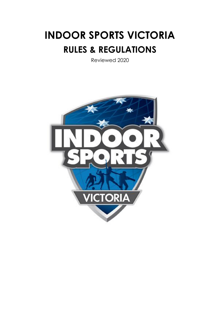# **INDOOR SPORTS VICTORIA RULES & REGULATIONS**

Reviewed 2020

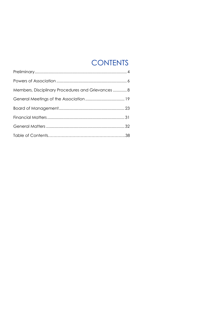# **CONTENTS**

| Members, Disciplinary Procedures and Grievances  8 |  |
|----------------------------------------------------|--|
|                                                    |  |
|                                                    |  |
|                                                    |  |
|                                                    |  |
|                                                    |  |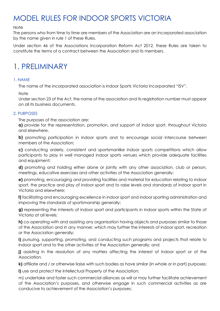# MODEL RULES FOR INDOOR SPORTS VICTORIA

#### **Note**

The persons who from time to time are members of the Association are an incorporated association by the name given in rule 1 of these Rules.

Under section 46 of the Associations Incorporation Reform Act 2012, these Rules are taken to constitute the terms of a contract between the Association and its members.

### 1. PRELIMINARY

#### 1. NAME

The name of the incorporated association is Indoor Sports Victoria Incorporated "ISV".

#### **Note**

Under section 23 of the Act, the name of the association and its registration number must appear on all its business documents.

#### 2. PURPOSES

The purposes of the association are:

**a)** provide for the representation, promotion, and support of indoor sport, throughout Victoria and elsewhere.

**b)** promoting participation in indoor sports and to encourage social intercourse between members of the Association;

**c)** conducting orderly, consistent and sportsmanlike indoor sports competitions which allow participants to play in well managed indoor sports venues which provide adequate facilities and equipment;

**d)** promoting and holding either alone or jointly with any other association, club or person, meetings, educative exercises and other activities of the Association generally;

**e)** promoting, encouraging and providing facilities and material for education relating to indoor sport, the practice and play of indoor sport and to raise levels and standards of indoor sport in Victoria and elsewhere;

**f)** facilitating and encouraging excellence in indoor sport and indoor sporting administration and improving the standards of sportsmanship generally;

**g)** representing the interests of indoor sport and participants in indoor sports within the State of Victoria at all levels;

**h)** co-operating with and assisting any organisation having objects and purposes similar to those of the Association and in any manner, which may further the interests of indoor sport, recreation or the Association generally;

**i)** pursuing, supporting, promoting, and conducting such programs and projects that relate to indoor sport and to the other activities of the Association generally; and

**j)** assisting in the resolution of any matters affecting the interest of indoor sport or of the Association.

**k)** affiliate and / or otherwise liaise with such bodies as have similar (in whole or in part) purposes;

**l)** use and protect the Intellectual Property of the Association;

m) undertake and foster such commercial alliances as will or may further facilitate achievement of the Association's purposes, and otherwise engage in such commercial activities as are conducive to achievement of the Association's purposes;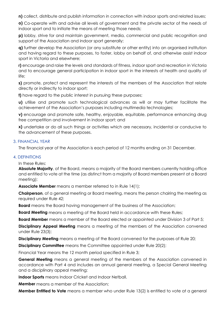**n)** collect, distribute and publish information in connection with indoor sports and related issues;

**o)** Co-operate with and advise all levels of government and the private sector of the needs of indoor sport and to initiate the means of meeting those needs;

**p)** lobby, strive for and maintain government, media, commercial and public recognition and support of the Association and indoor sport generally;

**q)** further develop the Association (or any substitute or other entity) into an organised institution and having regard to these purposes, to foster, lobby on behalf of, and otherwise assist indoor sport in Victoria and elsewhere;

**r)** encourage and raise the levels and standards of fitness, indoor sport and recreation in Victoria and to encourage general participation in indoor sport in the interests of health and quality of life;

**s)** promote, protect and represent the interests of the members of the Association that relate directly or indirectly to indoor sport;

**t)** have regard to the public interest in pursuing these purposes;

**u)** utilise and promote such technological advances as will or may further facilitate the achievement of the Association's purposes including multimedia technologies;

**v**) encourage and promote safe, healthy, enjoyable, equitable, performance enhancing drug free competition and involvement in indoor sport; and

**x)** undertake or do all such things or activities which are necessary, incidental or conducive to the advancement of these purposes.

#### 3. FINANCIAL YEAR

The financial year of the Association is each period of 12 months ending on 31 December.

#### 4. DEFINITIONS

In these Rules:

**Absolute Majority**, of the Board, means a majority of the Board members currently holding office and entitled to vote at the time (as distinct from a majority of Board members present at a Board meeting);

**Associate Member** means a member referred to in Rule 14(1);

**Chairperson**, of a general meeting or Board meeting, means the person chairing the meeting as required under Rule 42;

**Board** means the Board having management of the business of the Association;

**Board Meeting** means a meeting of the Board held in accordance with these Rules;

**Board Member** means a member of the Board elected or appointed under Division 3 of Part 5;

**Disciplinary Appeal Meeting** means a meeting of the members of the Association convened under Rule 23(3);

**Disciplinary Meeting** means a meeting of the Board convened for the purposes of Rule 20;

**Disciplinary Committee** means the Committee appointed under Rule 20(2);

Financial Year means the 12 month period specified in Rule 3;

**General Meeting** means a general meeting of the members of the Association convened in accordance with Part 4 and includes an annual general meeting, a Special General Meeting and a disciplinary appeal meeting;

**Indoor Sports** means Indoor Cricket and Indoor Netball.

**Member** means a member of the Association;

**Member Entitled to Vote** means a member who under Rule 13(2) is entitled to vote at a general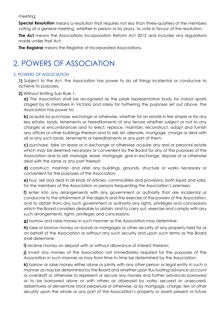meeting;

**Special Resolution** means a resolution that requires not less than three-quarters of the members voting at a general meeting, whether in person or by proxy, to vote in favour of the resolution;

**The Act** means the Associations Incorporation Reform Act 2012 and includes any regulations made under that Act;

**The Registrar** means the Registrar of Incorporated Associations.

### 2. POWERS OF ASSOCIATION

#### 5. POWERS OF ASSOCIATION

**1)** Subject to the Act, the Association has power to do all things incidental or conducive to achieve its purposes.

#### **2)** Without limiting Sub Rule 1:

**a)** The Association shall be recognized as the peak representative body for indoor sports staged by its members in Victoria and solely for furthering the purposes set out above, the Association has power to;

**b)** acquire by purchase, exchange or otherwise, whether for an estate in fee simple or for any less estate, lands, tenements or hereditaments of any tenure whether subject or not to any charges or encumbrances and to erect, replace, maintain, reconstruct, adapt and furnish any offices or other buildings thereon and to sell, let, alienate, mortgage, charge or deal with all or any such lands, tenements or hereditaments or any part of them;

**c)** purchase, take on lease or in exchange or otherwise acquire any real or personal estate which may be deemed necessary or convenient by the Board for any of the purposes of the Association and to sell, manage, lease, mortgage, give in exchange, dispose of or otherwise deal with the same or any part thereof;

**d)** construct, maintain and alter any buildings, grounds, structure or works necessary or convenient for the purposes of the Association;

**e)** buy, sell and deal in all kinds of articles, commodities and provisions, both liquid and solid, for the members of the Association or persons frequenting the Association's premises;

**f)** enter into any arrangements with any government or authority that are incidental or conducive to the attainment of the objects and the exercise of the powers of the Association, and to obtain from any such government or authority any rights, privileges and concessions which the Board considers desirable to obtain; and to carry out, exercise and comply with any such arrangements, rights, privileges and concessions;

**g)** borrow and raise money in such manner as the Association may determine;

**h)** raise or borrow money on bonds or mortgages or other security of any property held for or on behalf of the Association or without any such security and upon such terms as the Board shall determine;

**i)** receive money on deposit with or without allowance of interest thereon;

**j)** invest any monies of the Association not immediately required for the purposes of the Association in such manner as may from time to time be determined by the Association;

**k)** borrow or raise money either alone or jointly with any other person or legal entity in such a manner as may be determined by the Board and whether upon fluctuating advance account or overdraft or otherwise to represent or secure any monies and further advances borrowed or to be borrowed alone or with others as aforesaid by notes secured or unsecured, debentures or densenture stock perpetual or otherwise, or by mortgage, charge, lien or other security upon the whole or any part of the Association's property or assets present or future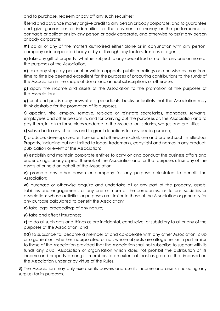and to purchase, redeem or pay off any such securities;

**l)** lend and advance money or give credit to any person or body corporate, and to guarantee and give guarantees or indemnities for the payment of money or the performance of contracts or obligations by any person or body corporate, and otherwise to assist any person or body corporate;

**m)** do all or any of the matters authorised either alone or in conjunction with any person, company or incorporated body or by or through any factors, trustees or agents;

**n)** take any gift of property, whether subject to any special trust or not, for any one or more of the purposes of the Association;

**o)** take any steps by personal or written appeals, public meetings or otherwise as may from time to time be deemed expedient for the purposes of procuring contributions to the funds of the Association in the shape of donations, annual subscriptions or otherwise;

**p)** apply the income and assets of the Association to the promotion of the purposes of the Association;

**q)** print and publish any newsletters, periodicals, books or leaflets that the Association may think desirable for the promotion of its purposes;

**r)** appoint, hire, employ, remove, replace or reinstate secretaries, managers, servants, employees and other persons in, and for carrying out the purposes of, the Association and to pay them, in return for services rendered to the Association, salaries, wages and gratuities;

**s)** subscribe to any charities and to grant donations for any public purpose;

**t)** produce, develop, create, license and otherwise exploit, use and protect such Intellectual Property, including but not limited to logos, trademarks, copyright and names in any product, publication or event of the Association;

**u)** establish and maintain corporate entities to carry on and conduct the business affairs and undertakings, or any aspect thereof, of the Association and for that purpose, utilise any of the assets of or held on behalf of the Association;

**v)** promote any other person or company for any purpose calculated to benefit the Association;

**w)** purchase or otherwise acquire and undertake all or any part of the property, assets, liabilities and engagements or any one or more of the companies, institutions, societies or associations whose activities or purposes are similar to those of the Association or generally for any purpose calculated to benefit the Association;

**x)** take legal proceedings of any nature;

**y)** take and affect insurance;

**z)** to do all such acts and things as are incidental, conducive, or subsidiary to all or any of the purposes of the Association; and

**aa)** to subscribe to, become a member of and co-operate with any other Association, club or organisation, whether incorporated or not, whose objects are altogether or in part similar to those of the Association provided that the Association shall not subscribe to support with its funds any club, Association or organisation which does not prohibit the distribution of its income and property among its members to an extent at least as great as that imposed on the Association under or by virtue of the Rules.

**3)** The Association may only exercise its powers and use its income and assets (including any surplus) for its purposes.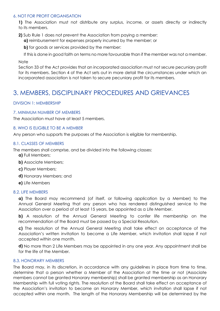#### 6. NOT FOR PROFIT ORGANISATION

**1)** The Association must not distribute any surplus, income, or assets directly or indirectly to its members.

- **2)** Sub Rule 1 does not prevent the Association from paying a member:
	- **a)** reimbursement for expenses properly incurred by the member; or
	- **b)** for goods or services provided by the member:
	- If this is done in good faith on terms no more favourable than if the member was not a member.

#### **Note**

Section 33 of the Act provides that an incorporated association must not secure pecuniary profit for its members. Section 4 of the Act sets out in more detail the circumstances under which an incorporated association is not taken to secure pecuniary profit for its members.

### 3. MEMBERS, DISCIPLINARY PROCEDURES AND GRIEVANCES

#### DIVISION 1: MEMBERSHIP

#### 7. MINIMUM NUMBER OF MEMBERS

The Association must have at least 5 members.

#### 8. WHO IS ELIGIBLE TO BE A MEMBER

Any person who supports the purposes of the Association is eligible for membership.

#### 8.1. CLASSES OF MEMBERS

The members shall comprise, and be divided into the following classes:

- **a)** Full Members;
- **b)** Associate Members;
- **c)** Player Members;
- **d)** Honorary Members; and
- **e)** Life Members

#### 8.2. LIFE MEMBERS

**a)** The Board may recommend (of itself, or following application by a Member) to the Annual General Meeting that any person who has rendered distinguished service to the Association over a period of at least 15 years, be appointed as a Life Member.

**b)** A resolution of the Annual General Meeting to confer life membership on the recommendation of the Board must be passed by a Special Resolution.

**c)** The resolution of the Annual General Meeting shall take effect on acceptance of the Association's written invitation to become a Life Member, which invitation shall lapse if not accepted within one month.

**d)** No more than 2 Life Members may be appointed in any one year. Any appointment shall be for the life of the Member.

#### 8.3. HONORARY MEMBERS

The Board may, in its discretion, in accordance with any guidelines in place from time to time, determine that a person whether a Member of the Association at the time or not (Associate members cannot be granted Honorary membership) shall be granted membership as an Honorary Membership with full voting rights. The resolution of the Board shall take effect on acceptance of the Association's invitation to become an Honorary Member, which invitation shall lapse if not accepted within one month. The length of the Honorary Membership will be determined by the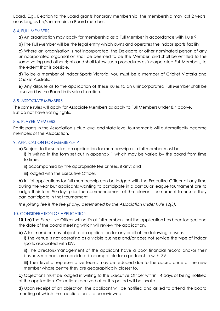Board. E.g., Election to the Board grants honorary membership, the membership may last 2 years, or as long as he/she remains a Board member.

#### 8.4. FULL MEMBERS

**a)** An organisation may apply for membership as a Full Member in accordance with Rule 9.

**b)** The Full Member will be the legal entity which owns and operates the indoor sports facility.

**c)** Where an organisation is not incorporated, the Delegate or other nominated person of any unincorporated organisation shall be deemed to be the Member, and shall be entitled to the same voting and other rights and shall follow such procedures as incorporated Full Members, to the extent that is possible.

**d)** To be a member of Indoor Sports Victoria, you must be a member of Cricket Victoria and Cricket Australia.

**e)** Any dispute as to the application of these Rules to an unincorporated Full Member shall be resolved by the Board in its sole discretion.

#### 8.5. ASSOCIATE MEMBERS

The same rules will apply for Associate Members as apply to Full Members under 8.4 above. But do not have voting rights.

#### 8.6. PLAYER MEMBERS

Participants in the Association's club level and state level tournaments will automatically become members of the Association.

#### 9. APPLICATION FOR MEMBERSHIP

**a)** Subject to these rules, an application for membership as a full member must be: **i)** in writing in the form set out in appendix 1 which may be varied by the board from time to time;

**ii)** accompanied by the appropriate fee or fees, if any; and

**iii)** lodged with the Executive Officer.

**b)** Initial applications for full membership can be lodged with the Executive Officer at any time during the year but applicants wanting to participate in a particular league tournament are to lodge their form 90 days prior the commencement of the relevant tournament to ensure they can participate in that tournament.

*The joining fee is the fee (if any) determined by the Association under Rule 12(3).*

#### 10. CONSIDERATION OF APPLICATION

**10.1 a)** The Executive Officer will notify all full members that the application has been lodged and the date of the board meeting which will review the application.

**b)** A full member may object to an application for any or all of the following reasons: **i)** The venue is not operating as a viable business and/or does not service the type of indoor sports associated with ISV.

**ii)** The directors/management of the applicant have a poor financial record and/or their business methods are considered incompatible for a partnership with ISV.

**iii)** Their level of representative teams may be reduced due to the acceptance of the new member whose centre they are geographically closest to.

- **c)** Objections must be lodged in writing to the Executive Officer within 14 days of being notified
- of the application. Objections received after this period will be invalid.

**d)** Upon receipt of an objection, the applicant will be notified and asked to attend the board meeting at which their application is to be reviewed.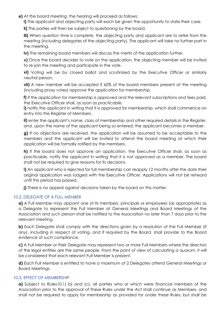**e)** At the board meeting, the hearing will proceed as follows:

**i)** The applicant and objecting party will each be given the opportunity to state their case.

**ii)** The parties will then be subject to questioning by the board.

**iii)** When question time is complete, the objecting party and applicant are to retire from the meeting (including delegates of the objecting party). The applicant will take no further part in the meeting.

**iv)** The remaining board members will discuss the merits of the application further.

**v)** Once the board decides to vote on the application, the objecting member will be invited to re-join the meeting and participate in the vote.

**vi)** Voting will be by closed ballot and scrutinized by the Executive Officer or similarly neutral person.

**vii)** A new member will be accepted if 60% of the board members present at the meeting (including proxy votes) approve the application for membership.

**f)** If the application for membership is approved and the relevant subscriptions and fees paid, the Executive Officer shall, as soon as practicable:

**i)** notify the applicant in writing that it is approved for membership, which shall commence on entry into the Register of Members.

**ii)** enter the applicant's name, class of membership and other required details in the Register, and, upon the name of the applicant being so entered, the applicant becomes a member.

**g)** If no objections are received, the application will be assumed to be acceptable to the members and the applicant will be invited to attend the board meeting at which their application will be formally ratified by the members.

**h)** If the board does not approve an application, the Executive Officer shall, as soon as practicable, notify the applicant in writing that it is not approved as a member. The board shall not be required to give reasons for its decisions.

**i)** An applicant who is rejected for full membership can reapply 12 months after the date their original application was lodged with the Executive Officer. Applications will not be reheard until this period has passed.

**j)** There is no appeal against decisions taken by the board on this matter.

#### 10.2. DELEGATE OF A FULL MEMBER

**a)** A Full Member may appoint one of its members, principals or employees (as appropriate) as a Delegate to represent the Full Member at General Meetings and Board Meetings of the Association and such person shall be notified to the Association no later than 7 days prior to the relevant meeting.

**b)** Each Delegate shall comply with the directions given by a resolution of the Full Member (if any), including in respect of voting, and if required by the Board, shall provide to the Board evidence of such compliance.

**c)** A Full Member or their Delegate may represent two or more Full Members where the directors of the legal entities are the same people. From the point of view of calculating a quorum, it will be considered that each relevant Full Member is present.

**d)** Each Full Member is entitled to have a maximum of 2 Delegates attend General Meetings or Board Meetings.

#### 10.3. EFFECT OF MEMBERSHIP

**a)** Subject to Rules10.1( b) and (c), all parties who or which were financial members of the Association prior to the approval of these Rules under the Act shall continue as Members, and shall not be required to apply for membership as provided for under these Rules, but shall be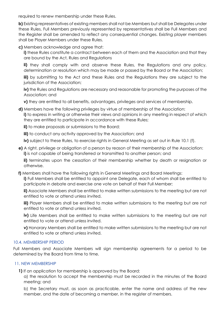required to renew membership under these Rules.

**b)** Existing representatives of existing members shall not be Members but shall be Delegates under these Rules. Full Members previously represented by representatives shall be Full Members and the Register shall be amended to reflect any consequential changes. Existing player members shall be Player Members under these Rules.

**c)** Members acknowledge and agree that:

**i)** these Rules constitute a contract between each of them and the Association and that they are bound by the Act, Rules and Regulations

**ii)** they shall comply with and observe these Rules, the Regulations and any policy, determination or resolution which may be made or passed by the Board or the Association;

**iii)** by submitting to the Act and these Rules and the Regulations they are subject to the jurisdiction of the Association;

**iv)** the Rules and Regulations are necessary and reasonable for promoting the purposes of the Association; and

**v)** they are entitled to all benefits, advantages, privileges and services of membership.

**d)** Members have the following privileges by virtue of membership of the Association: **i)** to express in writing or otherwise their views and opinions in any meeting in respect of which they are entitled to participate in accordance with these Rules;

**ii)** to make proposals or submissions to the Board;

**iii)** to conduct any activity approved by the Association; and

**iv)** subject to these Rules, to exercise rights in General Meeting as set out in Rule 10.1 (f).

**e)** A right, privilege or obligation of a person by reason of their membership of the Association: **i)** is not capable of being transferred or transmitted to another person; and

**ii)** terminates upon the cessation of their membership whether by death or resignation or otherwise.

**f)** Members shall have the following rights in General Meetings and Board Meetings:

**i)** Full Members shall be entitled to appoint one Delegate, each of whom shall be entitled to participate in debate and exercise one vote on behalf of their Full Member;

**ii)** Associate Members shall be entitled to make written submissions to the meeting but are not entitled to vote or attend unless invited.

**iii)** Player Members shall be entitled to make written submissions to the meeting but are not entitled to vote or attend unless invited.

**iv)** Life Members shall be entitled to make written submissions to the meeting but are not entitled to vote or attend unless invited.

**v)** Honorary Members shall be entitled to make written submissions to the meeting but are not entitled to vote or attend unless invited.

#### 10.4. MEMBERSHIP PERIOD

Full Members and Associate Members will sign membership agreements for a period to be determined by the Board from time to time.

#### 11. NEW MEMBERSHIP

**1)** If an application for membership is approved by the Board:

a) the resolution to accept the membership must be recorded in the minutes of the Board meeting; and

b) the Secretary must, as soon as practicable, enter the name and address of the new member, and the date of becoming a member, in the register of members.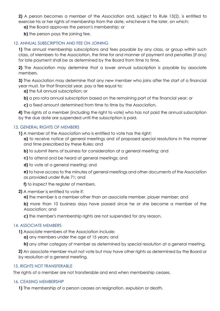**2)** A person becomes a member of the Association and, subject to Rule 13(2), is entitled to exercise his or her rights of membership from the date, whichever is the later, on which:

**a)** the Board approves the person's membership; or

**b)** the person pays the joining fee.

#### 12. ANNUAL SUBSCRIPTION AND FEE ON JOINING

**1)** The annual membership subscriptions and fees payable by any class, or group within such class, of Members to the Association, the time for and manner of payment and penalties (if any) for late payment shall be as determined by the Board from time to time.

**2)** The Association may determine that a lower annual subscription is payable by associate members.

**3)** The Association may determine that any new member who joins after the start of a financial year must, for that financial year, pay a fee equal to:

**a)** the full annual subscription; or

**b)** a pro rata annual subscription based on the remaining part of the financial year; or

**c)** a fixed amount determined from time to time by the Association.

**4)** The rights of a member (including the right to vote) who has not paid the annual subscription by the due date are suspended until the subscription is paid.

#### 13. GENERAL RIGHTS OF MEMBERS

**1)** A member of the Association who is entitled to vote has the right:

**a)** to receive notice of general meetings and of proposed special resolutions in the manner and time prescribed by these Rules; and

- **b)** to submit items of business for consideration at a general meeting; and
- **c)** to attend and be heard at general meetings; and
- **d)** to vote at a general meeting; and

**e)** to have access to the minutes of general meetings and other documents of the Association as provided under Rule 71; and

**f)** to inspect the register of members.

#### **2)** A member is entitled to vote if:

**a)** the member is a member other than an associate member, player member; and

**b)** more than 10 business days have passed since he or she became a member of the Association; and

**c)** the member's membership rights are not suspended for any reason.

#### 14. ASSOCIATE MEMBERS

**1)** Associate members of the Association include:

**a)** any members under the age of 15 years; and

**b)** any other category of member as determined by special resolution at a general meeting.

**2)** An associate member must not vote but may have other rights as determined by the Board or by resolution at a general meeting.

#### 15. RIGHTS NOT TRANSFERABLE

The rights of a member are not transferable and end when membership ceases.

#### 16. CEASING MEMBERSHIP

**1)** The membership of a person ceases on resignation, expulsion or death.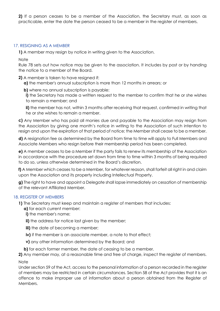**2)** If a person ceases to be a member of the Association, the Secretary must, as soon as practicable, enter the date the person ceased to be a member in the register of members.

#### 17. RESIGNING AS A MEMBER

**1)** A member may resign by notice in writing given to the Association.

Note

Rule 78 sets out how notice may be given to the association. It includes by post or by handing the notice to a member of the Board.

#### **2)** A member is taken to have resigned if:

**a)** the member's annual subscription is more than 12 months in arrears; or

**b)** where no annual subscription is payable:

**i)** the Secretary has made a written request to the member to confirm that he or she wishes to remain a member; and

**ii)** the member has not, within 3 months after receiving that request, confirmed in writing that he or she wishes to remain a member.

**c)** Any Member who has paid all monies due and payable to the Association may resign from the Association by giving one month's notice in writing to the Association of such intention to resign and upon the expiration of that period of notice; the Member shall cease to be a member.

**d)** A resignation fee as determined by the Board from time to time will apply to Full Members and Associate Members who resign before their membership period has been completed.

**e)** A member ceases to be a Member if the party fails to renew its membership of the Association in accordance with the procedure set down from time to time within 3 months of being required to do so, unless otherwise determined in the Board's discretion.

**f)** A Member which ceases to be a Member, for whatever reason, shall forfeit all right in and claim upon the Association and its property including Intellectual Property.

**g)** The right to have and appoint a Delegate shall lapse immediately on cessation of membership of the relevant Affiliated Member.

#### 18. REGISTER OF MEMBERS

**1)** The Secretary must keep and maintain a register of members that includes:

- **a)** for each current member:
- **i)** the member's name;
- **ii)** the address for notice last given by the member;
- **iii)** the date of becoming a member;
- **iv)** if the member is an associate member, a note to that effect;
- **v)** any other information determined by the Board; and

**b)** for each former member, the date of ceasing to be a member.

**2)** Any member may, at a reasonable time and free of charge, inspect the register of members. **Note** 

Under section 59 of the Act, access to the personal information of a person recorded in the register of members may be restricted in certain circumstances. Section 58 of the Act provides that it is an offence to make improper use of information about a person obtained from the Register of Members.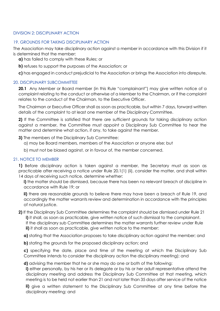#### DIVISION 2: DISCIPLINARY ACTION

#### 19. GROUNDS FOR TAKING DISCIPLINARY ACTION

The Association may take disciplinary action against a member in accordance with this Division if it is determined that the member:

**a)** has failed to comply with these Rules; or

**b)** refuses to support the purposes of the Association; or

**c)** has engaged in conduct prejudicial to the Association or brings the Association into disrepute.

#### 20. DISCIPLINARY SUBCOMMITTEE

**20.1** Any Member or Board member (in this Rule "complainant") may give written notice of a complaint relating to the conduct or otherwise of a Member to the Chairman, or if the complaint relates to the conduct of the Chairman, to the Executive Officer.

The Chairman or Executive Officer shall as soon as practicable, but within 7 days, forward written details of the complaint to at least one member of the Disciplinary Committee.

**2)** If the Committee is satisfied that there are sufficient grounds for taking disciplinary action against a member, the Committee must appoint a Disciplinary Sub Committee to hear the matter and determine what action, if any, to take against the member.

- **3)** The members of the Disciplinary Sub Committee:
	- a) may be Board members, members of the Association or anyone else; but
	- b) must not be biased against, or in favour of, the member concerned.

#### 21. NOTICE TO MEMBER

**1)** Before disciplinary action is taken against a member, the Secretary must as soon as practicable after receiving a notice under Rule 20.1(1) (ii), consider the matter, and shall within 14 days of receiving such notice, determine whether:

**i)** the matter should be dismissed, because there has been no relevant breach of discipline in accordance with Rule 19; or

**ii)** there are reasonable grounds to believe there may have been a breach of Rule 19, and accordingly the matter warrants review and determination in accordance with the principles of natural justice.

#### **2)** If the Disciplinary Sub Committee determines the complaint should be dismissed under Rule 21 **i)** it shall, as soon as practicable, give written notice of such dismissal to the complainant. If the disciplinary sub Committee determines the matter warrants further review under Rule **ii)** it shall as soon as practicable, give written notice to the member:

**a)** stating that the Association proposes to take disciplinary action against the member; and

**b)** stating the grounds for the proposed disciplinary action; and

**c)** specifying the date, place and time of the meeting at which the Disciplinary Sub Committee intends to consider the disciplinary action the disciplinary meeting); and

**d)** advising the member that he or she may do one or both of the following:

**i)** either personally, by his her or its delegate or by his or her adult representative attend the disciplinary meeting and address the Disciplinary Sub Committee at that meeting, which meeting is to be held not earlier than 21 and not later than 35 days after service of the notice

**ii)** give a written statement to the Disciplinary Sub Committee at any time before the disciplinary meeting; and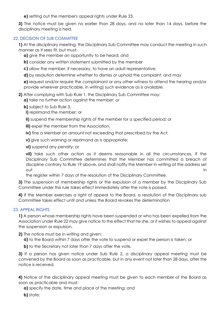**e)** setting out the member's appeal rights under Rule 23.

**3)** The notice must be given no earlier than 28 days, and no later than 14 days, before the disciplinary meeting is held.

#### 22. DECISION OF SUB COMMITTEE

**1)** At the disciplinary meeting, the Disciplinary Sub Committee may conduct the meeting in such manner as it sees fit, but must:

**a)** give the member an opportunity to be heard; and

**b)** consider any written statement submitted by the member

**c)** allow the member, if necessary, to have an adult representative;

**d)** by resolution determine whether to dismiss or uphold the complaint; and may

**e)** request and/or require the complainant or any other witness to attend the hearing and/or provide wherever practicable, in writing) such evidence as is available.

**2)** After complying with Sub Rule 1, the Disciplinary Sub Committee may:

**a)** take no further action against the member; or

**b)** subject to Sub Rule 3.

**i)** reprimand the member; or

**ii)** suspend the membership rights of the member for a specified period; or

**iii)** expel the member from the Association.

**iv)** fine a Member an amount not exceeding that prescribed by the Act;

**v)** give such warning or reprimand as is appropriate;

**vi)** suspend any penalty; or

**vii)** take such other action as it deems reasonable in all the circumstances, If the Disciplinary Sub Committee determines that the Member has committed a breach of discipline contrary to Rule 19 above, and shall notify the Member in writing at the address set out the contract of the contract of the contract of the contract of the contract of the contract of the contract of the contract of the contract of the contract of the contract of the contract of the contract of the contra

the register within 7 days of the resolution of the Disciplinary Committee.

**3)** The suspension of membership rights or the expulsion of a member by the Disciplinary Sub Committee under this rule takes effect immediately after the vote is passed.

**4)** If the Member exercises a right of appeal to the Board, a resolution of the Disciplinary sub Committee takes effect until and unless the Board revokes the determination

#### 23. APPEAL RIGHTS

**1)** A person whose membership rights have been suspended or who has been expelled from the Association under Rule 22 may give notice to the effect that he she, or it wishes to appeal against the suspension or expulsion.

**2)** The notice must be in writing and given:

**a)** to the Board within 7 days after the vote to suspend or expel the person is taken; or

**b)** to the Secretary not later than 7 days after the vote.

**3)** If a person has given notice under Sub Rule 2, a disciplinary appeal meeting must be convened by the Board as soon as practicable, but in any event not later than 28 days, after the notice is received.

**4)** Notice of the disciplinary appeal meeting must be given to each member of the Board as soon as practicable and must:

**a)** specify the date, time and place of the meeting; and

**b)** state: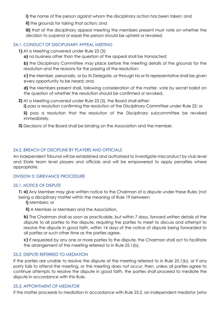**i)** the name of the person against whom the disciplinary action has been taken; and

**ii)** the grounds for taking that action; and

**iii)** that at the disciplinary appeal meeting the members present must vote on whether the decision to suspend or expel the person should be upheld or revoked.

#### 24.1. CONDUCT OF DISCIPLINARY APPEAL MEETING

**1)** At a Meeting convened under Rule 23 (3):

**a)** no business other than the question of the appeal shall be transacted;

**b)** the Disciplinary Committee may place before the meeting details of the grounds for the resolution and the reasons for the passing of the resolution;

**c)** the Member, personally, or by its Delegate, or through his or its representative shall be given every opportunity to be heard; and,

**d)** the Members present shall, following consideration of the matter, vote by secret ballot on the question of whether the resolution should be confirmed or revoked.

**2)** At a Meeting convened under Rule 23 (3), the Board shall either:

**i)** pass a resolution confirming the resolution of the Disciplinary Committee under Rule 22; or

**ii)** pass a resolution that the resolution of the Disciplinary subcommittee be revoked immediately.

**3)** Decisions of the Board shall be binding on the Association and the member.

#### 24.2. BREACH OF DISCIPLINE BY PLAYERS AND OFFICIALS

An independent Tribunal will be established and authorised to investigate misconduct by club level and State team level players and officials and will be empowered to apply penalties where appropriate.

#### DIVISION 3: GRIEVANCE PROCEDURE

#### 25.1. NOTICE OF DISPUTE

**1**) **a)** Any Member may give written notice to the Chairman of a dispute under these Rules (not being a disciplinary matter within the meaning of Rule 19 between:

**i)** Members; or

**ii)** A Member or Members and the Association,

**b)** The Chairman shall as soon as practicable, but within 7 days, forward written details of the dispute to all parties to the dispute, requiring the parties to meet to discuss and attempt to resolve the dispute in good faith, within 14 days of the notice of dispute being forwarded to all parties or such other time as the parties agree.

**c)** If requested by any one or more parties to the dispute, the Chairman shall act to facilitate the arrangement of the meeting referred to in Rule 25.1(b).

#### 25.2. DISPUTE REFERRED TO MEDIATION

If the parties are unable to resolve the dispute at the meeting referred to in Rule 25.1(b), or if any party fails to attend the meeting, or the meeting does not occur, then, unless all parties agree to continue attempts to resolve the dispute in good faith, the parties shall proceed to mediate the dispute in accordance with this Rule.

#### 25.3. APPOINTMENT OF MEDIATOR

If the matter proceeds to mediation in accordance with Rule 25.2, an independent mediator (who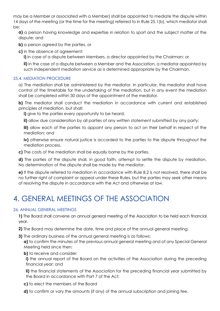may be a Member or associated with a Member) shall be appointed to mediate the dispute within 14 days of the meeting (or the time for the meeting) referred to in Rule 25.1(b), which mediator shall be:

**a)** a person having knowledge and expertise in relation to sport and the subject matter of the dispute; and

**b)** a person agreed by the parties, or

**c)** in the absence of agreement:

**i)** in case of a dispute between Members, a director appointed by the Chairman; or

**ii)** in the case of a dispute between a Member and the Association, a mediator appointed by such independent mediation service as is determined appropriate by the Chairman.

#### 25.4. MEDIATION PROCEDURE

a) The mediation shall be administered by the mediator. In particular, the mediator shall have control of the timetable for the undertaking of the mediation, but in any event the mediation shall be completed within 30 days of the appointment of the mediator.

**b)** The mediator shall conduct the mediation in accordance with current and established principles of mediation, but shall:

**i)** give to the parties every opportunity to be heard;

**ii)** allow due consideration by all parties of any written statement submitted by any party;

**iii)** allow each of the parties to appoint any person to act on their behalf in respect of the mediation; and

**iv)** otherwise ensure natural justice is accorded to the parties to the dispute throughout the mediation process.

**c)** The costs of the mediation shall be equally borne by the parties.

**d)** The parties of the dispute shall, in good faith, attempt to settle the dispute by mediation. No determination of the dispute shall be made by the mediator.

**e)** If the dispute referred to mediation in accordance with Rule 8.2 is not resolved, there shall be no further right of complaint or appeal under these Rules, but the parties may seek other means of resolving the dispute in accordance with the Act and otherwise at law.

# 4. GENERAL MEETINGS OF THE ASSOCIATION

#### 26. ANNUAL GENERAL MEETINGS

**1)** The Board shall convene an annual general meeting of the Association to be held each financial year.

**2)** The Board may determine the date, time and place of the annual general meeting.

**3)** The ordinary business of the annual general meeting is as follows: **a)** to confirm the minutes of the previous annual general meeting and of any Special General Meeting held since then;

**b)** to receive and consider:

**i)** the annual report of the Board on the activities of the Association during the preceding financial year; and

**ii)** the financial statements of the Association for the preceding financial year submitted by the Board in accordance with Part 7 of the Act;

**c)** to elect the members of the Board

**d)** to confirm or vary the amounts (if any) of the annual subscription and joining fee.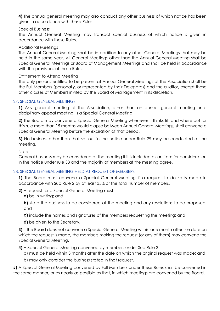**4)** The annual general meeting may also conduct any other business of which notice has been given in accordance with these Rules.

#### Special Business

The Annual General Meeting may transact special business of which notice is given in accordance with these Rules.

#### Additional Meetings

The Annual General Meeting shall be in addition to any other General Meetings that may be held in the same year. All General Meetings other than the Annual General Meeting shall be Special General Meetings or Board of Management Meetings and shall be held in accordance with the provisions of these Rules.

#### Entitlement to Attend Meeting

The only persons entitled to be present at Annual General Meetings of the Association shall be the Full Members (personally, or represented by their Delegates) and the auditor, except those other classes of Members invited by the Board of Management in its discretion.

#### 27. SPECIAL GENERAL MEETINGS

**1)** Any general meeting of the Association, other than an annual general meeting or a disciplinary appeal meeting, is a Special General Meeting.

**2)** The Board may convene a Special General Meeting whenever it thinks fit, and where but for this rule more than 15 months would elapse between Annual General Meetings, shall convene a Special General Meeting before the expiration of that period.

**3)** No business other than that set out in the notice under Rule 29 may be conducted at the meeting.

**Note** 

General business may be considered at the meeting if it is included as an item for consideration in the notice under rule 33 and the majority of members at the meeting agree.

#### 28. SPECIAL GENERAL MEETING HELD AT REQUEST OF MEMBERS

**1)** The Board must convene a Special General Meeting if a request to do so is made in accordance with Sub Rule 2 by at least 35% of the total number of members.

**2)** A request for a Special General Meeting must:

**a)** be in writing; and

**b)** state the business to be considered at the meeting and any resolutions to be proposed; and

**c)** include the names and signatures of the members requesting the meeting; and

**d)** be given to the Secretary.

**3)** If the Board does not convene a Special General Meeting within one month after the date on which the request is made, the members making the request (or any of them) may convene the Special General Meeting.

**4)** A Special General Meeting convened by members under Sub Rule 3:

a) must be held within 3 months after the date on which the original request was made; and

b) may only consider the business stated in that request.

**5)** A Special General Meeting convened by Full Members under these Rules shall be convened in the same manner, or as nearly as possible as that, in which meetings are convened by the Board.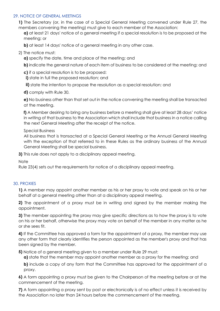#### 29. NOTICE OF GENERAL MEETINGS

**1)** The Secretary (or, in the case of a Special General Meeting convened under Rule 27, the members convening the meeting) must give to each member of the Association:

**a)** at least 21 days' notice of a general meeting if a special resolution is to be proposed at the meeting; or

**b)** at least 14 days' notice of a general meeting in any other case.

2) The notice must:

**a)** specify the date, time and place of the meeting; and

**b)** indicate the general nature of each item of business to be considered at the meeting; and

**c)** if a special resolution is to be proposed:

**i)** state in full the proposed resolution; and

**ii)** state the intention to propose the resolution as a special resolution; and

**d)** comply with Rule 30.

**e)** No business other than that set out in the notice convening the meeting shall be transacted at the meeting.

**f)** A Member desiring to bring any business before a meeting shall give at least 28 days' notice in writing of that business to the Association which shall include that business in a notice calling the next General Meeting after the receipt of the notice.

#### Special Business

All business that is transacted at a Special General Meeting or the Annual General Meeting with the exception of that referred to in these Rules as the ordinary business of the Annual General Meeting shall be special business.

**3)** This rule does not apply to a disciplinary appeal meeting.

**Note** 

Rule 23(4) sets out the requirements for notice of a disciplinary appeal meeting.

#### 30. PROXIES

**1)** A member may appoint another member as his or her proxy to vote and speak on his or her behalf at a general meeting other than at a disciplinary appeal meeting.

**2)** The appointment of a proxy must be in writing and signed by the member making the appointment.

**3)** The member appointing the proxy may give specific directions as to how the proxy is to vote on his or her behalf, otherwise the proxy may vote on behalf of the member in any matter as he or she sees fit.

**4)** If the Committee has approved a form for the appointment of a proxy, the member may use any other form that clearly identifies the person appointed as the member's proxy and that has been signed by the member.

**5)** Notice of a general meeting given to a member under Rule 29 must:

**a)** state that the member may appoint another member as a proxy for the meeting; and

**b)** include a copy of any form that the Committee has approved for the appointment of a proxy.

**6)** A form appointing a proxy must be given to the Chairperson of the meeting before or at the commencement of the meeting.

**7)** A form appointing a proxy sent by post or electronically is of no effect unless it is received by the Association no later than 24 hours before the commencement of the meeting.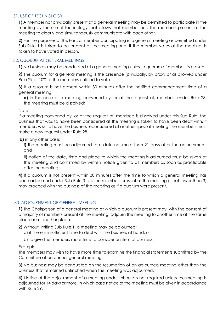#### 31. USE OF TECHNOLOGY

**1)** A member not physically present at a general meeting may be permitted to participate in the meeting by the use of technology that allows that member and the members present at the meeting to clearly and simultaneously communicate with each other.

**2)** For the purposes of this Part, a member participating in a general meeting as permitted under Sub Rule 1 is taken to be present at the meeting and, if the member votes at the meeting, is taken to have voted in person.

#### 32. QUORUM AT GENERAL MEETINGS

**1)** No business may be conducted at a general meeting unless a quorum of members is present.

**2)** The quorum for a general meeting is the presence (physically, by proxy or as allowed under Rule 29 of 10% of the members entitled to vote.

**3)** If a quorum is not present within 30 minutes after the notified commencement time of a general meeting:

**a)** in the case of a meeting convened by, or at the request of, members under Rule 28: the meeting must be dissolved;

#### **Note**

If a meeting convened by, or at the request of, members is dissolved under this Sub Rule, the business that was to have been considered at the meeting is taken to have been dealt with. If members wish to have the business reconsidered at another special meeting, the members must make a new request under Rule 28.

#### **b)** in any other case:

**i)** the meeting must be adjourned to a date not more than 21 days after the adjournment; and

**ii)** notice of the date, time and place to which the meeting is adjourned must be given at the meeting and confirmed by written notice given to all members as soon as practicable after the meeting.

**4)** If a quorum is not present within 30 minutes after the time to which a general meeting has been adjourned under Sub Rule 3 (b), the members present at the meeting (if not fewer than 3) may proceed with the business of the meeting as if a quorum were present.

#### 33. ADJOURNMENT OF GENERAL MEETING

**1)** The Chairperson of a general meeting at which a quorum is present may, with the consent of a majority of members present at the meeting, adjourn the meeting to another time at the same place or at another place.

**2)** Without limiting Sub Rule 1, a meeting may be adjourned:

- a) if there is insufficient time to deal with the business at hand; or
- b) to give the members more time to consider an item of business.

#### Example

The members may wish to have more time to examine the financial statements submitted by the Committee at an annual general meeting.

**3)** No business may be conducted on the resumption of an adjourned meeting other than the business that remained unfinished when the meeting was adjourned.

**4)** Notice of the adjournment of a meeting under this rule is not required unless the meeting is adjourned for 14 days or more, in which case notice of the meeting must be given in accordance with Rule 29.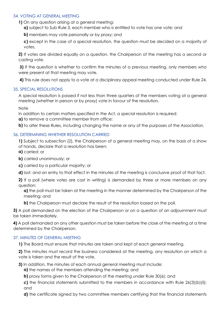#### 34. VOTING AT GENERAL MEETING

**1)** On any question arising at a general meeting:

**a)** subject to Sub Rule 3, each member who is entitled to vote has one vote; and

**b)** members may vote personally or by proxy; and

**c)** except in the case of a special resolution, the question must be decided on a majority of votes.

**2)** If votes are divided equally on a question, the Chairperson of the meeting has a second or casting vote.

**3)** If the question is whether to confirm the minutes of a previous meeting, only members who were present at that meeting may vote.

**4)** This rule does not apply to a vote at a disciplinary appeal meeting conducted under Rule 24.

#### 35. SPECIAL RESOLUTIONS

A special resolution is passed if not less than three quarters of the members voting at a general meeting (whether in person or by proxy) vote in favour of the resolution.

**Note** 

In addition to certain matters specified in the Act, a special resolution is required:

**a)** to remove a committee member from office;

**b)** to alter these Rules, including changing the name or any of the purposes of the Association.

#### 36. DETERMINING WHETHER RESOLUTION CARRIED

**1)** Subject to subsection (2), the Chairperson of a general meeting may, on the basis of a show of hands, declare that a resolution has been:

**a)** carried; or

**b)** carried unanimously; or

**c)** carried by a particular majority; or

**d)** lost: and an entry to that effect in the minutes of the meeting is conclusive proof of that fact.

**2)** If a poll (where votes are cast in writing) is demanded by three or more members on any question:

**a)** the poll must be taken at the meeting in the manner determined by the Chairperson of the meeting; and

**b)** the Chairperson must declare the result of the resolution based on the poll.

**3)** A poll demanded on the election of the Chairperson or on a question of an adjournment must be taken immediately.

**4)** A poll demanded on any other question must be taken before the close of the meeting at a time determined by the Chairperson.

#### 37. MINUTES OF GENERAL MEETING

**1)** The Board must ensure that minutes are taken and kept of each general meeting.

**2)** The minutes must record the business considered at the meeting, any resolution on which a vote is taken and the result of the vote.

**3)** In addition, the minutes of each annual general meeting must include:

**a)** the names of the members attending the meeting; and

**b)** proxy forms given to the Chairperson of the meeting under Rule 30(6); and

**c)** the financial statements submitted to the members in accordance with Rule 26(3)(b)(ii); and

**d)** the certificate signed by two committee members certifying that the financial statements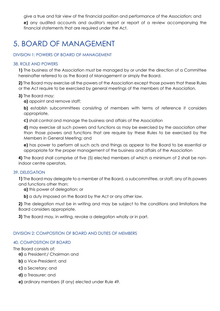give a true and fair view of the financial position and performance of the Association; and **e)** any audited accounts and auditor's report or report of a review accompanying the financial statements that are required under the Act.

# 5. BOARD OF MANAGEMENT

#### DIVISION 1: POWERS OF BOARD OF MANAGEMENT

#### 38. ROLE AND POWERS

**1)** The business of the Association must be managed by or under the direction of a Committee hereinafter referred to as the Board of Management or simply the Board.

**2)** The Board may exercise all the powers of the Association except those powers that these Rules or the Act require to be exercised by general meetings of the members of the Association.

#### **3)** The Board may:

**a)** appoint and remove staff;

**b)** establish subcommittees consisting of members with terms of reference it considers appropriate.

**c)** shall control and manage the business and affairs of the Association

**d)** may exercise all such powers and functions as may be exercised by the association other than those powers and functions that are require by these Rules to be exercised by the Members in General Meeting; and

**e)** has power to perform all such acts and things as appear to the Board to be essential or appropriate for the proper management of the business and affairs of the Association

**4)** The Board shall comprise of five (5) elected members of which a minimum of 2 shall be nonindoor centre operators.

#### 39. DELEGATION

**1)** The Board may delegate to a member of the Board, a subcommittee, or staff, any of its powers and functions other than:

**a)** this power of delegation; or

**b)** a duty imposed on the Board by the Act or any other law.

**2)** The delegation must be in writing and may be subject to the conditions and limitations the Board considers appropriate.

**3)** The Board may, in writing, revoke a delegation wholly or in part.

#### DIVISION 2: COMPOSITION OF BOARD AND DUTIES OF MEMBERS

#### 40. COMPOSITION OF BOARD

The Board consists of:

- **a)** a President;/ Chairman and
- **b)** a Vice-President; and
- **c)** a Secretary; and
- **d)** a Treasurer; and
- **e)** ordinary members (if any) elected under Rule 49.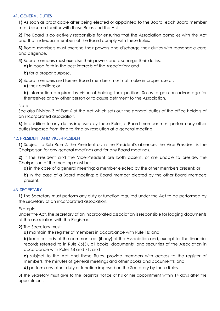#### 41. GENERAL DUTIES

**1)** As soon as practicable after being elected or appointed to the Board, each Board member must become familiar with these Rules and the Act.

**2)** The Board is collectively responsible for ensuring that the Association complies with the Act and that individual members of the Board comply with these Rules.

**3)** Board members must exercise their powers and discharge their duties with reasonable care and diligence.

**4)** Board members must exercise their powers and discharge their duties:

**a)** in good faith in the best interests of the Association; and

**b)** for a proper purpose.

**5)** Board members and former Board members must not make improper use of:

**a)** their position; or

**b)** information acquired by virtue of holding their position: So as to gain an advantage for themselves or any other person or to cause detriment to the Association.

**Note** 

See also Division 3 of Part 6 of the Act which sets out the general duties of the office holders of an incorporated association.

**6)** In addition to any duties imposed by these Rules, a Board member must perform any other duties imposed from time to time by resolution at a general meeting.

#### 42. PRESIDENT AND VICE-PRESIDENT

**1)** Subject to Sub Rule 2, the President or, in the President's absence, the Vice-President is the Chairperson for any general meetings and for any Board meetings.

**2)** If the President and the Vice-President are both absent, or are unable to preside, the Chairperson of the meeting must be:

**a)** in the case of a general meeting: a member elected by the other members present; or

**b)** in the case of a Board meeting: a Board member elected by the other Board members present.

#### 43. SECRETARY

**1)** The Secretary must perform any duty or function required under the Act to be performed by the secretary of an incorporated association.

Example

Under the Act, the secretary of an incorporated association is responsible for lodging documents of the association with the Registrar.

#### **2)** The Secretary must:

**a)** maintain the register of members in accordance with Rule 18; and

**b)** keep custody of the common seal (if any) of the Association and, except for the financial records referred to in Rule 66(3), all books, documents, and securities of the Association in accordance with Rules 68 and 71; and

**c)** subject to the Act and these Rules, provide members with access to the register of members, the minutes of general meetings and other books and documents; and

**d)** perform any other duty or function imposed on the Secretary by these Rules.

**3)** The Secretary must give to the Registrar notice of his or her appointment within 14 days after the appointment.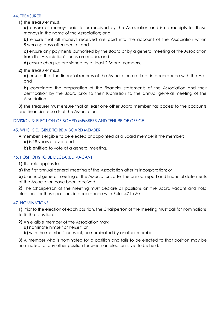#### 44. TREASURER

**1)** The Treasurer must:

**a)** ensure all moneys paid to or received by the Association and issue receipts for those moneys in the name of the Association; and

**b)** ensure that all moneys received are paid into the account of the Association within 5 working days after receipt; and

**c)** ensure any payments authorised by the Board or by a general meeting of the Association from the Association's funds are made; and

**d)** ensure cheques are signed by at least 2 Board members.

**2)** The Treasurer must:

**a)** ensure that the financial records of the Association are kept in accordance with the Act; and

**b)** coordinate the preparation of the financial statements of the Association and their certification by the Board prior to their submission to the annual general meeting of the Association.

**3)** The Treasurer must ensure that at least one other Board member has access to the accounts and financial records of the Association.

#### DIVISION 3: ELECTION OF BOARD MEMBERS AND TENURE OF OFFICE

#### 45. WHO IS ELIGIBLE TO BE A BOARD MEMBER

A member is eligible to be elected or appointed as a Board member if the member:

**a)** is 18 years or over; and

**b)** is entitled to vote at a general meeting.

#### 46. POSITIONS TO BE DECLARED VACANT

**1)** This rule applies to:

**a)** the first annual general meeting of the Association after its incorporation; or

**b)** biannual general meeting of the Association, after the annual report and financial statements of the Association have been received.

**2)** The Chairperson of the meeting must declare all positions on the Board vacant and hold elections for those positions in accordance with Rules 47 to 50.

#### 47. NOMINATIONS

**1)** Prior to the election of each position, the Chairperson of the meeting must call for nominations to fill that position.

- **2)** An eligible member of the Association may:
	- **a)** nominate himself or herself; or
	- **b)** with the member's consent, be nominated by another member.

**3)** A member who is nominated for a position and fails to be elected to that position may be nominated for any other position for which an election is yet to be held.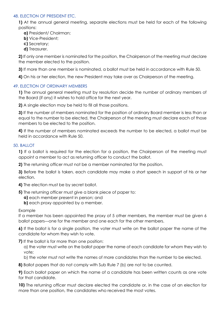#### 48. ELECTION OF PRESIDENT ETC.

**1)** At the annual general meeting, separate elections must be held for each of the following positions:

- **a)** President/ Chairman;
- **b)** Vice-President;
- **c)** Secretary;
- **d)** Treasurer.

**2)** If only one member is nominated for the position, the Chairperson of the meeting must declare the member elected to the position.

**3)** If more than one member is nominated, a ballot must be held in accordance with Rule 50.

**4)** On his or her election, the new President may take over as Chairperson of the meeting.

#### 49. ELECTION OF ORDINARY MEMBERS

**1)** The annual general meeting must by resolution decide the number of ordinary members of the Board (if any) it wishes to hold office for the next year.

**2)** A single election may be held to fill all those positions.

**3)** If the number of members nominated for the position of ordinary Board member is less than or equal to the number to be elected, the Chairperson of the meeting must declare each of those members to be elected to the position.

**4)** If the number of members nominated exceeds the number to be elected, a ballot must be held in accordance with Rule 50.

#### 50. BALLOT

**1)** If a ballot is required for the election for a position, the Chairperson of the meeting must appoint a member to act as returning officer to conduct the ballot.

**2)** The returning officer must not be a member nominated for the position.

**3)** Before the ballot is taken, each candidate may make a short speech in support of his or her election.

**4)** The election must be by secret ballot.

**5)** The returning officer must give a blank piece of paper to:

- **a)** each member present in person; and
- **b)** each proxy appointed by a member.

#### Example

If a member has been appointed the proxy of 5 other members, the member must be given 6 ballot papers—one for the member and one each for the other members.

**6)** If the ballot is for a single position, the voter must write on the ballot paper the name of the candidate for whom they wish to vote.

**7)** If the ballot is for more than one position:

a) the voter must write on the ballot paper the name of each candidate for whom they wish to vote;

b) the voter must not write the names of more candidates than the number to be elected.

**8)** Ballot papers that do not comply with Sub Rule 7 (b) are not to be counted.

**9)** Each ballot paper on which the name of a candidate has been written counts as one vote for that candidate.

**10)** The returning officer must declare elected the candidate or, in the case of an election for more than one position, the candidates who received the most votes.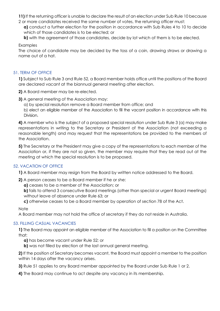- **11)** If the returning officer is unable to declare the result of an election under Sub Rule 10 because
- 2 or more candidates received the same number of votes, the returning officer must:

**a)** conduct a further election for the position in accordance with Sub Rules 4 to 10 to decide which of those candidates is to be elected; or

**b)** with the agreement of those candidates, decide by lot which of them is to be elected.

Examples

The choice of candidate may be decided by the toss of a coin, drawing straws or drawing a name out of a hat.

#### 51. TERM OF OFFICE

**1)** Subject to Sub Rule 3 and Rule 52, a Board member holds office until the positions of the Board are declared vacant at the biannual general meeting after election.

**2)** A Board member may be re-elected.

- **3)** A general meeting of the Association may:
	- a) by special resolution remove a Board member from office; and

b) elect an eligible member of the Association to fill the vacant position in accordance with this Division.

**4)** A member who is the subject of a proposed special resolution under Sub Rule 3 (a) may make representations in writing to the Secretary or President of the Association (not exceeding a reasonable length) and may request that the representations be provided to the members of the Association.

**5)** The Secretary or the President may give a copy of the representations to each member of the Association or, if they are not so given, the member may require that they be read out at the meeting at which the special resolution is to be proposed.

#### 52. VACATION OF OFFICE

**1)** A Board member may resign from the Board by written notice addressed to the Board.

**2)** A person ceases to be a Board member if he or she:

**a)** ceases to be a member of the Association; or

**b)** fails to attend 3 consecutive Board meetings (other than special or urgent Board meetings) without leave of absence under Rule 63; or

**c)** otherwise ceases to be a Board member by operation of section 78 of the Act.

**Note** 

A Board member may not hold the office of secretary if they do not reside in Australia.

#### 53. FILLING CASUAL VACANCIES

**1)** The Board may appoint an eligible member of the Association to fill a position on the Committee that:

**a)** has become vacant under Rule 52; or

**b)** was not filled by election at the last annual general meeting.

**2)** If the position of Secretary becomes vacant, the Board must appoint a member to the position within 14 days after the vacancy arises.

- **3)** Rule 51 applies to any Board member appointed by the Board under Sub Rule 1 or 2.
- **4)** The Board may continue to act despite any vacancy in its membership.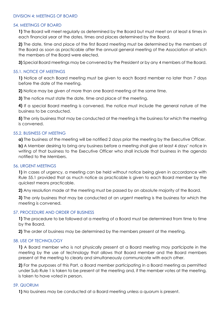#### DIVISION 4: MEETINGS OF BOARD

#### 54. MEETINGS OF BOARD

**1)** The Board will meet regularly as determined by the Board but must meet on at least 6 times in each financial year at the dates, times and places determined by the Board.

**2)** The date, time and place of the first Board meeting must be determined by the members of the Board as soon as practicable after the annual general meeting of the Association at which the members of the Board were elected.

**3)** Special Board meetings may be convened by the President or by any 4 members of the Board.

#### 55.1. NOTICE OF MEETINGS

**1)** Notice of each Board meeting must be given to each Board member no later than 7 days before the date of the meeting.

**2)** Notice may be given of more than one Board meeting at the same time.

**3)** The notice must state the date, time and place of the meeting.

**4)** If a special Board meeting is convened, the notice must include the general nature of the business to be conducted.

**5)** The only business that may be conducted at the meeting is the business for which the meeting is convened.

#### 55.2. BUSINESS OF MEETING

**a)** The business of the meeting will be notified 2 days prior the meeting by the Executive Officer.

**b)** A Member desiring to bring any business before a meeting shall give at least 4 days' notice in writing of that business to the Executive Officer who shall include that business in the agenda notified to the Members.

#### 56. URGENT MEETINGS

**1)** In cases of urgency, a meeting can be held without notice being given in accordance with Rule 55.1 provided that as much notice as practicable is given to each Board member by the quickest means practicable.

**2)** Any resolution made at the meeting must be passed by an absolute majority of the Board.

**3)** The only business that may be conducted at an urgent meeting is the business for which the meeting is convened.

#### 57. PROCEDURE AND ORDER OF BUSINESS

**1)** The procedure to be followed at a meeting of a Board must be determined from time to time by the Board.

**2)** The order of business may be determined by the members present at the meeting.

#### 58. USE OF TECHNOLOGY

**1)** A Board member who is not physically present at a Board meeting may participate in the meeting by the use of technology that allows that Board member and the Board members present at the meeting to clearly and simultaneously communicate with each other.

**2)** For the purposes of this Part, a Board member participating in a Board meeting as permitted under Sub Rule 1 is taken to be present at the meeting and, if the member votes at the meeting, is taken to have voted in person.

#### 59. QUORUM

**1)** No business may be conducted at a Board meeting unless a quorum is present.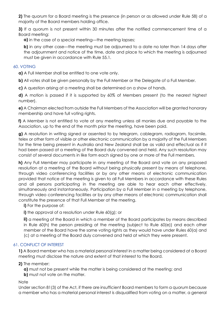**2)** The quorum for a Board meeting is the presence (in person or as allowed under Rule 58) of a majority of the Board members holding office.

**3)** If a quorum is not present within 30 minutes after the notified commencement time of a Board meeting:

**a)** in the case of a special meeting—the meeting lapses;

**b)** in any other case—the meeting must be adjourned to a date no later than 14 days after the adjournment and notice of the time, date and place to which the meeting is adjourned must be given in accordance with Rule 55.1.

#### 60. VOTING

**a)** A Full Member shall be entitled to one vote only.

**b)** All votes shall be given personally by the Full Member or the Delegate of a Full Member.

**c)** A question arising at a meeting shall be determined on a show of hands.

**d)** A motion is passed if it is supported by 60% of Members present (to the nearest highest number).

**e)** A Chairman elected from outside the Full Members of the Association will be granted honorary membership and have full voting rights.

**f)** A Member is not entitled to vote at any meeting unless all monies due and payable to the Association, up to the end of the month prior the meeting, have been paid.

**g)** A resolution in writing signed or assented to by telegram, cablegram, radiogram, facsimile, telex or other form of visible or other electronic communication by a majority of the Full Members for the time being present in Australia and New Zealand shall be as valid and effectual as if it had been passed at a meeting of the Board duly convened and held. Any such resolution may consist of several documents in like form each signed by one or more of the Full members.

**h)** Any Full Member may participate in any meeting of the Board and vote on any proposed resolution at a meeting of the Board without being physically present by means of telephone, through video conferencing facilities or by any other means of electronic communication provided that notice of the meeting is given to all Full Members in accordance with these Rules and all persons participating in the meeting are able to hear each other effectively, simultaneously and instantaneously. Participation by a Full Member in a meeting by telephone, through video conferencing facilities or by any other means of electronic communication shall constitute the presence of that Full Member at the meeting.

**i)** For the purpose of:

**i)** the approval of a resolution under Rule 60(a); or

**ii)** a meeting of the Board in which a member of the Board participates by means described in Rule 60(h) the person presiding at the meeting (subject to Rule 60(e)) and each other member of the Board have the same voting rights as they would have under Rules 60(a) and (c) at a meeting of the Board duly convened and held at which they were present.

#### 61. CONFLICT OF INTEREST

**1)** A Board member who has a material personal interest in a matter being considered at a Board meeting must disclose the nature and extent of that interest to the Board.

**2)** The member:

**a)** must not be present while the matter is being considered at the meeting; and **b)** must not vote on the matter.

#### **Note**

Under section 81(3) of the Act, if there are insufficient Board members to form a quorum because a member who has a material personal interest is disqualified from voting on a matter, a general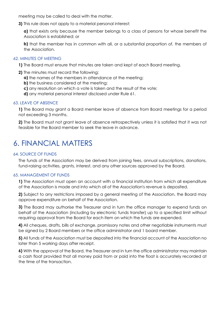meeting may be called to deal with the matter.

**3)** This rule does not apply to a material personal interest:

**a)** that exists only because the member belongs to a class of persons for whose benefit the Association is established; or

**b)** that the member has in common with all, or a substantial proportion of, the members of the Association.

#### 62. MINUTES OF MEETING

- **1)** The Board must ensure that minutes are taken and kept of each Board meeting.
- **2)** The minutes must record the following:
	- **a)** the names of the members in attendance at the meeting;
	- **b)** the business considered at the meeting:
	- **c)** any resolution on which a vote is taken and the result of the vote;
	- **d)** any material personal interest disclosed under Rule 61.

#### 63. LEAVE OF ABSENCE

**1)** The Board may grant a Board member leave of absence from Board meetings for a period not exceeding 3 months.

**2)** The Board must not grant leave of absence retrospectively unless it is satisfied that it was not feasible for the Board member to seek the leave in advance.

### 6. FINANCIAL MATTERS

#### 64. SOURCE OF FUNDS

The funds of the Association may be derived from joining fees, annual subscriptions, donations, fund-raising activities, grants, interest, and any other sources approved by the Board.

#### 65. MANAGEMENT OF FUNDS

**1)** The Association must open an account with a financial institution from which all expenditure of the Association is made and into which all of the Association's revenue is deposited.

**2)** Subject to any restrictions imposed by a general meeting of the Association, the Board may approve expenditure on behalf of the Association.

**3)** The Board may authorise the Treasurer and in turn the office manager to expend funds on behalf of the Association (including by electronic funds transfer) up to a specified limit without requiring approval from the Board for each item on which the funds are expended.

**4)** All cheques, drafts, bills of exchange, promissory notes and other negotiable instruments must be signed by 2 Board members or the office administrator and 1 board member.

**5)** All funds of the Association must be deposited into the financial account of the Association no later than 5 working days after receipt.

**6)** With the approval of the Board, the Treasurer and in turn the office administrator may maintain a cash float provided that all money paid from or paid into the float is accurately recorded at the time of the transaction.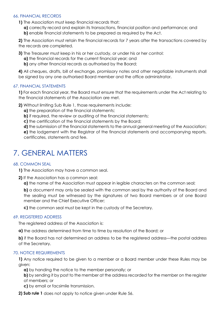#### 66. FINANCIAL RECORDS

**1)** The Association must keep financial records that:

**a)** correctly record and explain its transactions, financial position and performance; and **b)** enable financial statements to be prepared as required by the Act.

**2)** The Association must retain the financial records for 7 years after the transactions covered by the records are completed.

**3)** The Treasurer must keep in his or her custody, or under his or her control:

- **a)** the financial records for the current financial year; and
- **b)** any other financial records as authorised by the Board;

**4)** All cheques, drafts, bill of exchange, promissory notes and other negotiable instruments shall be signed by any one authorised Board member and the office administrator.

#### 67. FINANCIAL STATEMENTS

**1)** For each financial year, the Board must ensure that the requirements under the Act relating to the financial statements of the Association are met.

**2)** Without limiting Sub Rule 1, those requirements include:

**a)** the preparation of the financial statements;

**b)** if required, the review or auditing of the financial statements;

**c)** the certification of the financial statements by the Board;

**d)** the submission of the financial statements to the annual general meeting of the Association;

**e)** the lodgement with the Registrar of the financial statements and accompanying reports, certificates, statements and fee.

### 7. GENERAL MATTERS

#### 68. COMMON SEAL

**1)** The Association may have a common seal.

**2)** If the Association has a common seal:

**a)** the name of the Association must appear in legible characters on the common seal;

**b)** a document may only be sealed with the common seal by the authority of the Board and the sealing must be witnessed by the signatures of two Board members or of one Board member and the Chief Executive Officer;

**c)** the common seal must be kept in the custody of the Secretary.

#### 69. REGISTERED ADDRESS

The registered address of the Association is:

**a)** the address determined from time to time by resolution of the Board; or

**b)** if the Board has not determined an address to be the registered address—the postal address of the Secretary.

#### 70. NOTICE REQUIREMENTS

**1)** Any notice required to be given to a member or a Board member under these Rules may be given:

**a)** by handing the notice to the member personally; or

**b)** by sending it by post to the member at the address recorded for the member on the register of members; or

- **c)** by email or facsimile transmission.
- **2) Sub rule 1** does not apply to notice given under Rule 56.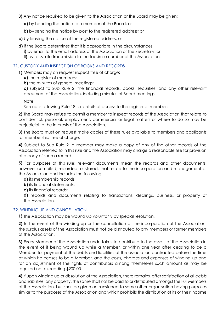- **3)** Any notice required to be given to the Association or the Board may be given:
	- **a)** by handing the notice to a member of the Board; or
	- **b)** by sending the notice by post to the registered address; or
- **c)** by leaving the notice at the registered address; or
- **d)** if the Board determines that it is appropriate in the circumstances: **i)** by email to the email address of the Association or the Secretary; or **ii)** by facsimile transmission to the facsimile number of the Association.

#### 71. CUSTODY AND INSPECTION OF BOOKS AND RECORDS

**1)** Members may on request inspect free of charge:

- **a)** the register of members;
- **b)** the minutes of general meetings;

**c)** subject to Sub Rule 2, the financial records, books, securities, and any other relevant document of the Association, including minutes of Board meetings.

**Note** 

See note following Rule 18 for details of access to the register of members.

**2)** The Board may refuse to permit a member to inspect records of the Association that relate to confidential, personal, employment, commercial or legal matters or where to do so may be prejudicial to the interests of the Association.

**3)** The Board must on request make copies of these rules available to members and applicants for membership free of charge.

**4)** Subject to Sub Rule 2, a member may make a copy of any of the other records of the Association referred to in this rule and the Association may charge a reasonable fee for provision of a copy of such a record.

**5)** For purposes of this rule: relevant documents mean the records and other documents, however compiled, recorded, or stored, that relate to the incorporation and management of the Association and includes the following:

- **a)** its membership records;
- **b)** its financial statements:

**c)** its financial records;

**d)** records and documents relating to transactions, dealings, business, or property of the Association.

#### 72. WINDING UP AND CANCELLATION

**1)** The Association may be wound up voluntarily by special resolution.

**2)** In the event of the winding up or the cancellation of the incorporation of the Association, the surplus assets of the Association must not be distributed to any members or former members of the Association.

**3)** Every Member of the Association undertakes to contribute to the assets of the Association in the event of it being wound up while a Member, or within one year after ceasing to be a Member, for payment of the debts and liabilities of the association contracted before the time at which he ceases to be a Member, and the costs, charges and expenses of winding up and for an adjustment of the rights of contributors among themselves such amount as may be required not exceeding \$200.00.

**4)** If upon winding up or dissolution of the Association, there remains, after satisfaction of all debts and liabilities, any property, the same shall not be paid to or distributed amongst the Full Members of the Association, but shall be given or transferred to some other organisation having purposes similar to the purposes of the Association and which prohibits the distribution of its or their income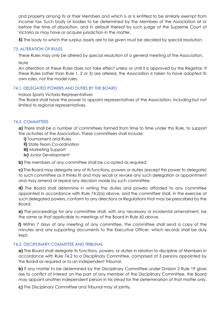and property among its or their Members and which is or is entitled to be similarly exempt from income tax. Such body or bodies to be determined by the Members of the Association at or before the time of dissolution, and in default thereof by such judge of the Supreme Court of Victoria as may have or acquire jurisdiction in the matter.

**5)** The body to which the surplus assets are to be given must be decided by special resolution.

#### 73. ALTERATION OF RULES

These Rules may only be altered by special resolution of a general meeting of the Association.

**Note** 

An alteration of these Rules does not take effect unless or until it is approved by the Registrar. If these Rules (other than Rule 1, 2 or 3) are altered, the Association is taken to have adopted its own rules, not the model rules.

#### 74.1. DELEGATED POWERS AND DUTIES BY THE BOARD

Indoor Sports Victoria Representatives

The Board shall have the power to appoint representatives of the Association, including but not limited to regional representatives.

#### 74.2. COMMITTEES

**a)** There shall be a number of committees formed from time to time under this Rule, to support the activities of the Association. These committees shall include:

**i)** Tournament and Rules

**ii)** State Team Co-ordination

- **iii)** Marketing Support
- **iv)** Junior Development

**b)** The members of any committee shall be co-opted as required.

**c)** The Board may delegate any of its functions, powers or duties (except this power to delegate) to such committee as it thinks fit and may recall or revoke any such delegation or appointment and may amend or repeal any decision made by such committee.

**d)** The Board shall determine in writing the duties and powers afforded to any committee appointed in accordance with Rule 74.2(a) above, and the committee shall, in the exercise of such delegated powers, conform to any directions or Regulations that may be prescribed by the Board.

**e)** The proceedings for any committee shall, with any necessary or incidental amendment, be the same as that applicable to meetings of the Board in Rule 60 above.

**f)** Within 7 days of any meeting of any committee, the committee shall send a copy of the minutes and any supporting documents to the Executive Officer, which records shall be duly kept.

#### 74.3. DISCIPLINARY COMMITTEE AND TRIBUNAL

**a)** The Board shall delegate its functions, powers, or duties in relation to discipline of Members in accordance with Rule 74.2 to a Disciplinary Committee, comprised of 3 persons appointed by the Board as required or to an independent Tribunal.

**b)** If any matter to be determined by the Disciplinary Committee under Division 2 Rule 19 gives rise to conflict of interest on the part of any member of the Disciplinary Committee, the Board may appoint another independent person in his stead for the determination of that matter only.

**c)** The Disciplinary Committee and Tribunal may sit jointly.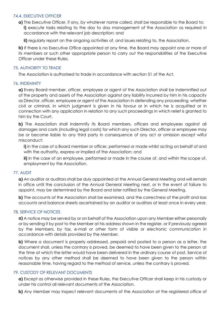#### 74.4. EXECUTIVE OFFICER

**a)** The Executive Officer, if any, by whatever name called, shall be responsible to the Board to: **i)** execute tasks relating to the day to day management of the Association as required in accordance with the relevant job description; and

**ii)** regularly report on the ongoing activities of, and issues relating to, the Association.

**b)** If there is no Executive Office appointed at any time, the Board may appoint one or more of its members or such other appropriate person to carry out the responsibilities of the Executive Officer under these Rules.

#### 75. AUTHORITY TO TRADE

The Association is authorised to trade in accordance with section 51 of the Act.

#### 76. INDEMNITY

**a)** Every Board member, officer, employee or agent of the Association shall be indemnified out of the property and assets of the Association against any liability incurred by him in his capacity as Director, officer, employee or agent of the Association in defending any proceeding, whether civil or criminal, in which judgment is given in his favour or in which he is acquitted or in connection with any application in relation to any such proceedings in which relief is granted to him by the Court.

**b)** The Association shall indemnify its Board members, officers and employees against all damages and costs (including legal costs) for which any such Director, officer or employee may be or become liable to any third party in consequence of any act or omission except wilful misconduct:

**i)** in the case of a Board member or officer, performed or made whilst acting on behalf of and with the authority, express or implied of the Association; and

**ii)** in the case of an employee, performed or made in the course of, and within the scope of, employment by the Association.

#### 77. AUDIT

**a)** An auditor or auditors shall be duly appointed at the Annual General Meeting and will remain in office until the conclusion of the Annual General Meeting next, or in the event of failure to appoint, may be determined by the Board and later ratified by the General Meeting.

**b)** The accounts of the Association shall be examined, and the correctness of the profit and loss accounts and balance sheets ascertained by an auditor or auditors at least once in every year.

#### 78. SERVICE OF NOTICES

**a)** A notice may be served by or on behalf of the Association upon any Member either personally or by sending it by post to the Member at his address shown in the register, or if previously agreed by the Members, by fax, e-mail or other form of visible or electronic communication in accordance with details provided by the Member.

**b)** Where a document is properly addressed, prepaid and posted to a person as a letter, the document shall, unless the contrary is proved, be deemed to have been given to the person at the time at which the letter would have been delivered in the ordinary course of post. Service of notices by any other method shall be deemed to have been given to the person within reasonable time, having regard to the method of service, unless the contrary is proved.

#### 79. CUSTODY OF RELEVANT DOCUMENTS

**a)** Except as otherwise provided in these Rules, the Executive Officer shall keep in his custody or under his control all relevant documents of the Association.

**b)** Any Member may inspect relevant documents of the Association at the registered office of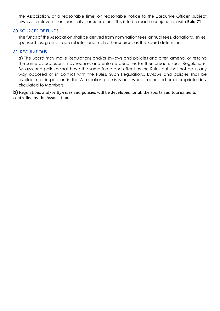the Association, at a reasonable time, on reasonable notice to the Executive Officer, subject always to relevant confidentiality considerations. This is to be read in conjunction with **Rule 71**.

#### 80. SOURCES OF FUNDS

The funds of the Association shall be derived from nomination fees, annual fees, donations, levies, sponsorships, grants, trade rebates and such other sources as the Board determines.

#### 81. REGULATIONS

**a)** The Board may make Regulations and/or By-laws and policies and alter, amend, or rescind the same as occasions may require, and enforce penalties for their breach. Such Regulations, By-laws and policies shall have the same force and effect as the Rules but shall not be in any way opposed or in conflict with the Rules. Such Regulations, By-laws and policies shall be available for inspection in the Association premises and where requested or appropriate duly circulated to Members.

**b**) Regulations and/or By-rules and policies will be developed for all the sports and tournaments controlled by the Association.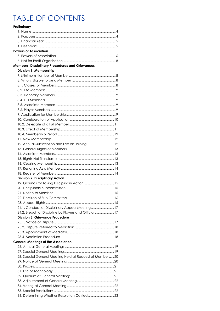# **TABLE OF CONTENTS**

| Preliminary                                               |  |
|-----------------------------------------------------------|--|
|                                                           |  |
|                                                           |  |
|                                                           |  |
|                                                           |  |
| Powers of Association                                     |  |
|                                                           |  |
|                                                           |  |
| <b>Members, Disciplinary Procedures and Grievances</b>    |  |
| Division 1: Membership                                    |  |
|                                                           |  |
|                                                           |  |
|                                                           |  |
|                                                           |  |
|                                                           |  |
|                                                           |  |
|                                                           |  |
|                                                           |  |
|                                                           |  |
|                                                           |  |
|                                                           |  |
|                                                           |  |
|                                                           |  |
|                                                           |  |
|                                                           |  |
|                                                           |  |
|                                                           |  |
|                                                           |  |
|                                                           |  |
|                                                           |  |
|                                                           |  |
| <b>Division 2: Disciplinary Action</b>                    |  |
|                                                           |  |
|                                                           |  |
|                                                           |  |
|                                                           |  |
|                                                           |  |
| 24.1. Conduct of Disciplinary Appeal Meeting 17           |  |
| 24.2. Breach of Discipline by Players and Official  17    |  |
| <b>Division 3: Grievance Procedure</b>                    |  |
|                                                           |  |
|                                                           |  |
|                                                           |  |
|                                                           |  |
| <b>General Meetings of the Association</b>                |  |
|                                                           |  |
|                                                           |  |
| 28. Special General Meeting Held at Request of Members 20 |  |
|                                                           |  |
|                                                           |  |
|                                                           |  |
|                                                           |  |
|                                                           |  |
|                                                           |  |
|                                                           |  |
|                                                           |  |